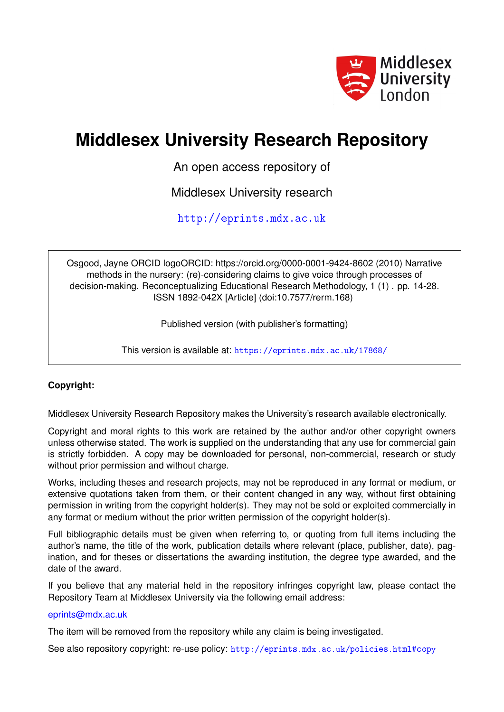

# **Middlesex University Research Repository**

An open access repository of

Middlesex University research

<http://eprints.mdx.ac.uk>

Osgood, Jayne ORCID logoORCID: https://orcid.org/0000-0001-9424-8602 (2010) Narrative methods in the nursery: (re)-considering claims to give voice through processes of decision-making. Reconceptualizing Educational Research Methodology, 1 (1) . pp. 14-28. ISSN 1892-042X [Article] (doi:10.7577/rerm.168)

Published version (with publisher's formatting)

This version is available at: <https://eprints.mdx.ac.uk/17868/>

## **Copyright:**

Middlesex University Research Repository makes the University's research available electronically.

Copyright and moral rights to this work are retained by the author and/or other copyright owners unless otherwise stated. The work is supplied on the understanding that any use for commercial gain is strictly forbidden. A copy may be downloaded for personal, non-commercial, research or study without prior permission and without charge.

Works, including theses and research projects, may not be reproduced in any format or medium, or extensive quotations taken from them, or their content changed in any way, without first obtaining permission in writing from the copyright holder(s). They may not be sold or exploited commercially in any format or medium without the prior written permission of the copyright holder(s).

Full bibliographic details must be given when referring to, or quoting from full items including the author's name, the title of the work, publication details where relevant (place, publisher, date), pagination, and for theses or dissertations the awarding institution, the degree type awarded, and the date of the award.

If you believe that any material held in the repository infringes copyright law, please contact the Repository Team at Middlesex University via the following email address:

### [eprints@mdx.ac.uk](mailto:eprints@mdx.ac.uk)

The item will be removed from the repository while any claim is being investigated.

See also repository copyright: re-use policy: <http://eprints.mdx.ac.uk/policies.html#copy>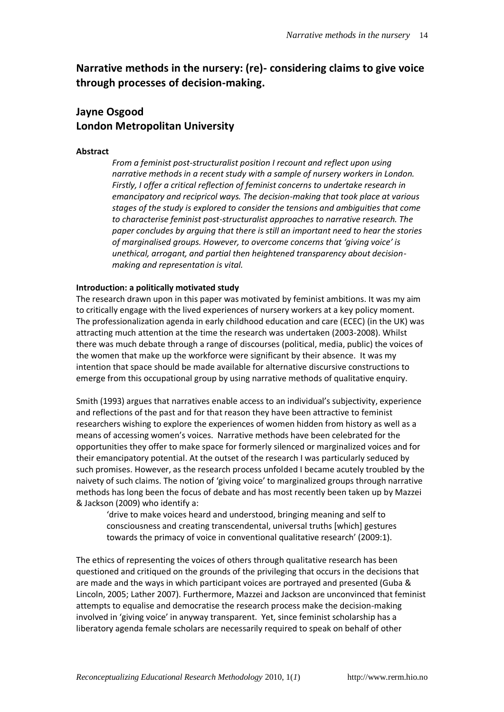# **Narrative methods in the nursery: (re)- considering claims to give voice through processes of decision-making.**

# **Jayne Osgood London Metropolitan University**

#### **Abstract**

*From a feminist post-structuralist position I recount and reflect upon using narrative methods in a recent study with a sample of nursery workers in London. Firstly, I offer a critical reflection of feminist concerns to undertake research in emancipatory and recipricol ways. The decision-making that took place at various stages of the study is explored to consider the tensions and ambiguities that come to characterise feminist post-structuralist approaches to narrative research. The paper concludes by arguing that there is still an important need to hear the stories of marginalised groups. However, to overcome concerns that 'giving voice' is unethical, arrogant, and partial then heightened transparency about decisionmaking and representation is vital.* 

#### **Introduction: a politically motivated study**

The research drawn upon in this paper was motivated by feminist ambitions. It was my aim to critically engage with the lived experiences of nursery workers at a key policy moment. The professionalization agenda in early childhood education and care (ECEC) (in the UK) was attracting much attention at the time the research was undertaken (2003-2008). Whilst there was much debate through a range of discourses (political, media, public) the voices of the women that make up the workforce were significant by their absence. It was my intention that space should be made available for alternative discursive constructions to emerge from this occupational group by using narrative methods of qualitative enquiry.

Smith (1993) argues that narratives enable access to an individual's subjectivity, experience and reflections of the past and for that reason they have been attractive to feminist researchers wishing to explore the experiences of women hidden from history as well as a means of accessing women's voices. Narrative methods have been celebrated for the opportunities they offer to make space for formerly silenced or marginalized voices and for their emancipatory potential. At the outset of the research I was particularly seduced by such promises. However, as the research process unfolded I became acutely troubled by the naivety of such claims. The notion of 'giving voice' to marginalized groups through narrative methods has long been the focus of debate and has most recently been taken up by Mazzei & Jackson (2009) who identify a:

'drive to make voices heard and understood, bringing meaning and self to consciousness and creating transcendental, universal truths [which] gestures towards the primacy of voice in conventional qualitative research' (2009:1).

The ethics of representing the voices of others through qualitative research has been questioned and critiqued on the grounds of the privileging that occurs in the decisions that are made and the ways in which participant voices are portrayed and presented (Guba & Lincoln, 2005; Lather 2007). Furthermore, Mazzei and Jackson are unconvinced that feminist attempts to equalise and democratise the research process make the decision-making involved in 'giving voice' in anyway transparent. Yet, since feminist scholarship has a liberatory agenda female scholars are necessarily required to speak on behalf of other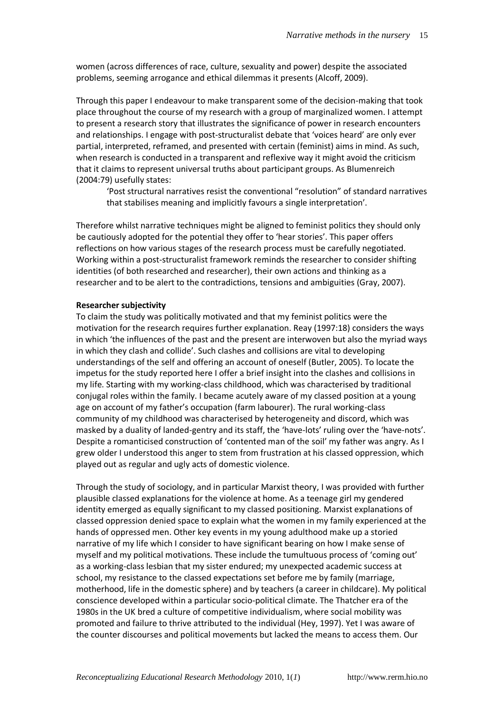women (across differences of race, culture, sexuality and power) despite the associated problems, seeming arrogance and ethical dilemmas it presents (Alcoff, 2009).

Through this paper I endeavour to make transparent some of the decision-making that took place throughout the course of my research with a group of marginalized women. I attempt to present a research story that illustrates the significance of power in research encounters and relationships. I engage with post-structuralist debate that 'voices heard' are only ever partial, interpreted, reframed, and presented with certain (feminist) aims in mind. As such, when research is conducted in a transparent and reflexive way it might avoid the criticism that it claims to represent universal truths about participant groups. As Blumenreich (2004:79) usefully states:

'Post structural narratives resist the conventional "resolution" of standard narratives that stabilises meaning and implicitly favours a single interpretation'.

Therefore whilst narrative techniques might be aligned to feminist politics they should only be cautiously adopted for the potential they offer to 'hear stories'. This paper offers reflections on how various stages of the research process must be carefully negotiated. Working within a post-structuralist framework reminds the researcher to consider shifting identities (of both researched and researcher), their own actions and thinking as a researcher and to be alert to the contradictions, tensions and ambiguities (Gray, 2007).

#### **Researcher subjectivity**

To claim the study was politically motivated and that my feminist politics were the motivation for the research requires further explanation. Reay (1997:18) considers the ways in which 'the influences of the past and the present are interwoven but also the myriad ways in which they clash and collide'. Such clashes and collisions are vital to developing understandings of the self and offering an account of oneself (Butler, 2005). To locate the impetus for the study reported here I offer a brief insight into the clashes and collisions in my life. Starting with my working-class childhood, which was characterised by traditional conjugal roles within the family. I became acutely aware of my classed position at a young age on account of my father's occupation (farm labourer). The rural working-class community of my childhood was characterised by heterogeneity and discord, which was masked by a duality of landed-gentry and its staff, the 'have-lots' ruling over the 'have-nots'. Despite a romanticised construction of 'contented man of the soil' my father was angry. As I grew older I understood this anger to stem from frustration at his classed oppression, which played out as regular and ugly acts of domestic violence.

Through the study of sociology, and in particular Marxist theory, I was provided with further plausible classed explanations for the violence at home. As a teenage girl my gendered identity emerged as equally significant to my classed positioning. Marxist explanations of classed oppression denied space to explain what the women in my family experienced at the hands of oppressed men. Other key events in my young adulthood make up a storied narrative of my life which I consider to have significant bearing on how I make sense of myself and my political motivations. These include the tumultuous process of 'coming out' as a working-class lesbian that my sister endured; my unexpected academic success at school, my resistance to the classed expectations set before me by family (marriage, motherhood, life in the domestic sphere) and by teachers (a career in childcare). My political conscience developed within a particular socio-political climate. The Thatcher era of the 1980s in the UK bred a culture of competitive individualism, where social mobility was promoted and failure to thrive attributed to the individual (Hey, 1997). Yet I was aware of the counter discourses and political movements but lacked the means to access them. Our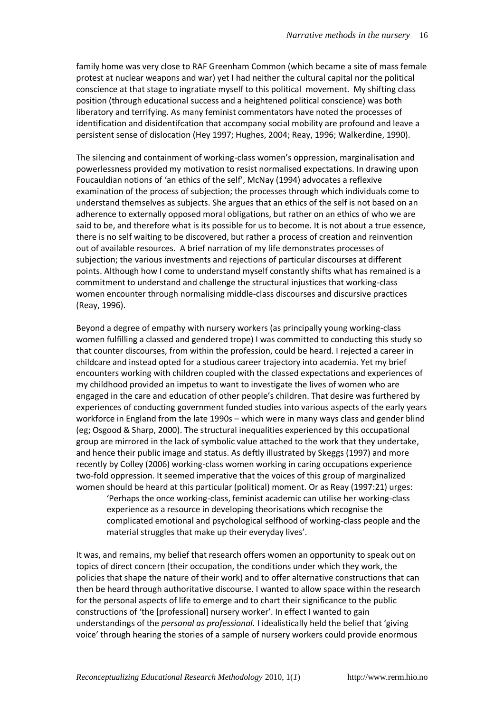family home was very close to RAF Greenham Common (which became a site of mass female protest at nuclear weapons and war) yet I had neither the cultural capital nor the political conscience at that stage to ingratiate myself to this political movement. My shifting class position (through educational success and a heightened political conscience) was both liberatory and terrifying. As many feminist commentators have noted the processes of identification and disidentifcation that accompany social mobility are profound and leave a persistent sense of dislocation (Hey 1997; Hughes, 2004; Reay, 1996; Walkerdine, 1990).

The silencing and containment of working-class women's oppression, marginalisation and powerlessness provided my motivation to resist normalised expectations. In drawing upon Foucauldian notions of 'an ethics of the self', McNay (1994) advocates a reflexive examination of the process of subjection; the processes through which individuals come to understand themselves as subjects. She argues that an ethics of the self is not based on an adherence to externally opposed moral obligations, but rather on an ethics of who we are said to be, and therefore what is its possible for us to become. It is not about a true essence, there is no self waiting to be discovered, but rather a process of creation and reinvention out of available resources. A brief narration of my life demonstrates processes of subjection; the various investments and rejections of particular discourses at different points. Although how I come to understand myself constantly shifts what has remained is a commitment to understand and challenge the structural injustices that working-class women encounter through normalising middle-class discourses and discursive practices (Reay, 1996).

Beyond a degree of empathy with nursery workers (as principally young working-class women fulfilling a classed and gendered trope) I was committed to conducting this study so that counter discourses, from within the profession, could be heard. I rejected a career in childcare and instead opted for a studious career trajectory into academia. Yet my brief encounters working with children coupled with the classed expectations and experiences of my childhood provided an impetus to want to investigate the lives of women who are engaged in the care and education of other people's children. That desire was furthered by experiences of conducting government funded studies into various aspects of the early years workforce in England from the late 1990s – which were in many ways class and gender blind (eg; Osgood & Sharp, 2000). The structural inequalities experienced by this occupational group are mirrored in the lack of symbolic value attached to the work that they undertake, and hence their public image and status. As deftly illustrated by Skeggs (1997) and more recently by Colley (2006) working-class women working in caring occupations experience two-fold oppression. It seemed imperative that the voices of this group of marginalized women should be heard at this particular (political) moment. Or as Reay (1997:21) urges:

'Perhaps the once working-class, feminist academic can utilise her working-class experience as a resource in developing theorisations which recognise the complicated emotional and psychological selfhood of working-class people and the material struggles that make up their everyday lives'.

It was, and remains, my belief that research offers women an opportunity to speak out on topics of direct concern (their occupation, the conditions under which they work, the policies that shape the nature of their work) and to offer alternative constructions that can then be heard through authoritative discourse. I wanted to allow space within the research for the personal aspects of life to emerge and to chart their significance to the public constructions of 'the [professional] nursery worker'. In effect I wanted to gain understandings of the *personal as professional.* I idealistically held the belief that 'giving voice' through hearing the stories of a sample of nursery workers could provide enormous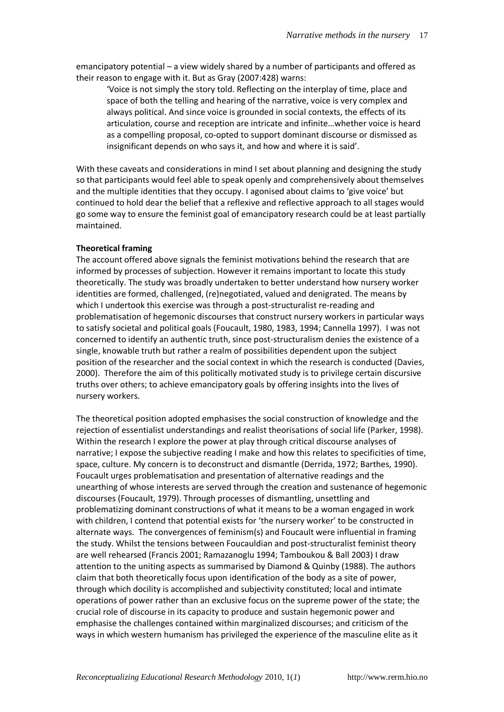emancipatory potential – a view widely shared by a number of participants and offered as their reason to engage with it. But as Gray (2007:428) warns:

'Voice is not simply the story told. Reflecting on the interplay of time, place and space of both the telling and hearing of the narrative, voice is very complex and always political. And since voice is grounded in social contexts, the effects of its articulation, course and reception are intricate and infinite…whether voice is heard as a compelling proposal, co-opted to support dominant discourse or dismissed as insignificant depends on who says it, and how and where it is said'.

With these caveats and considerations in mind I set about planning and designing the study so that participants would feel able to speak openly and comprehensively about themselves and the multiple identities that they occupy. I agonised about claims to 'give voice' but continued to hold dear the belief that a reflexive and reflective approach to all stages would go some way to ensure the feminist goal of emancipatory research could be at least partially maintained.

#### **Theoretical framing**

The account offered above signals the feminist motivations behind the research that are informed by processes of subjection. However it remains important to locate this study theoretically. The study was broadly undertaken to better understand how nursery worker identities are formed, challenged, (re)negotiated, valued and denigrated. The means by which I undertook this exercise was through a post-structuralist re-reading and problematisation of hegemonic discourses that construct nursery workers in particular ways to satisfy societal and political goals (Foucault, 1980, 1983, 1994; Cannella 1997). I was not concerned to identify an authentic truth, since post-structuralism denies the existence of a single, knowable truth but rather a realm of possibilities dependent upon the subject position of the researcher and the social context in which the research is conducted (Davies, 2000). Therefore the aim of this politically motivated study is to privilege certain discursive truths over others; to achieve emancipatory goals by offering insights into the lives of nursery workers.

The theoretical position adopted emphasises the social construction of knowledge and the rejection of essentialist understandings and realist theorisations of social life (Parker, 1998). Within the research I explore the power at play through critical discourse analyses of narrative; I expose the subjective reading I make and how this relates to specificities of time, space, culture. My concern is to deconstruct and dismantle (Derrida, 1972; Barthes, 1990). Foucault urges problematisation and presentation of alternative readings and the unearthing of whose interests are served through the creation and sustenance of hegemonic discourses (Foucault, 1979). Through processes of dismantling, unsettling and problematizing dominant constructions of what it means to be a woman engaged in work with children, I contend that potential exists for 'the nursery worker' to be constructed in alternate ways. The convergences of feminism(s) and Foucault were influential in framing the study. Whilst the tensions between Foucauldian and post-structuralist feminist theory are well rehearsed (Francis 2001; Ramazanoglu 1994; Tamboukou & Ball 2003) I draw attention to the uniting aspects as summarised by Diamond & Quinby (1988). The authors claim that both theoretically focus upon identification of the body as a site of power, through which docility is accomplished and subjectivity constituted; local and intimate operations of power rather than an exclusive focus on the supreme power of the state; the crucial role of discourse in its capacity to produce and sustain hegemonic power and emphasise the challenges contained within marginalized discourses; and criticism of the ways in which western humanism has privileged the experience of the masculine elite as it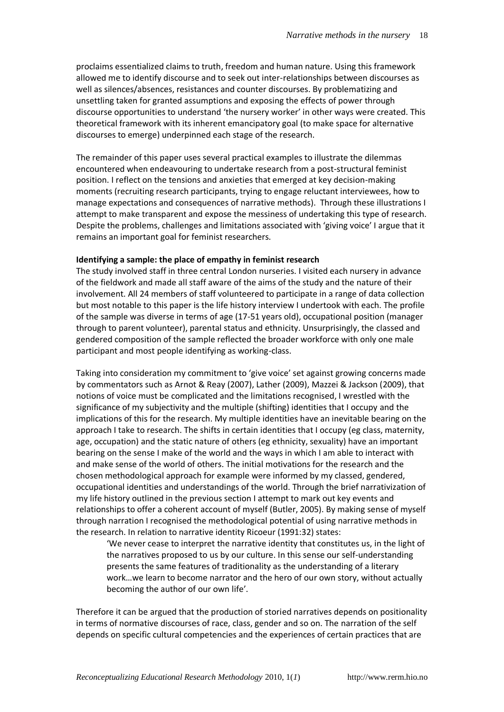proclaims essentialized claims to truth, freedom and human nature. Using this framework allowed me to identify discourse and to seek out inter-relationships between discourses as well as silences/absences, resistances and counter discourses. By problematizing and unsettling taken for granted assumptions and exposing the effects of power through discourse opportunities to understand 'the nursery worker' in other ways were created. This theoretical framework with its inherent emancipatory goal (to make space for alternative discourses to emerge) underpinned each stage of the research.

The remainder of this paper uses several practical examples to illustrate the dilemmas encountered when endeavouring to undertake research from a post-structural feminist position. I reflect on the tensions and anxieties that emerged at key decision-making moments (recruiting research participants, trying to engage reluctant interviewees, how to manage expectations and consequences of narrative methods). Through these illustrations I attempt to make transparent and expose the messiness of undertaking this type of research. Despite the problems, challenges and limitations associated with 'giving voice' I argue that it remains an important goal for feminist researchers.

#### **Identifying a sample: the place of empathy in feminist research**

The study involved staff in three central London nurseries. I visited each nursery in advance of the fieldwork and made all staff aware of the aims of the study and the nature of their involvement. All 24 members of staff volunteered to participate in a range of data collection but most notable to this paper is the life history interview I undertook with each. The profile of the sample was diverse in terms of age (17-51 years old), occupational position (manager through to parent volunteer), parental status and ethnicity. Unsurprisingly, the classed and gendered composition of the sample reflected the broader workforce with only one male participant and most people identifying as working-class.

Taking into consideration my commitment to 'give voice' set against growing concerns made by commentators such as Arnot & Reay (2007), Lather (2009), Mazzei & Jackson (2009), that notions of voice must be complicated and the limitations recognised, I wrestled with the significance of my subjectivity and the multiple (shifting) identities that I occupy and the implications of this for the research. My multiple identities have an inevitable bearing on the approach I take to research. The shifts in certain identities that I occupy (eg class, maternity, age, occupation) and the static nature of others (eg ethnicity, sexuality) have an important bearing on the sense I make of the world and the ways in which I am able to interact with and make sense of the world of others. The initial motivations for the research and the chosen methodological approach for example were informed by my classed, gendered, occupational identities and understandings of the world. Through the brief narrativization of my life history outlined in the previous section I attempt to mark out key events and relationships to offer a coherent account of myself (Butler, 2005). By making sense of myself through narration I recognised the methodological potential of using narrative methods in the research. In relation to narrative identity Ricoeur (1991:32) states:

'We never cease to interpret the narrative identity that constitutes us, in the light of the narratives proposed to us by our culture. In this sense our self-understanding presents the same features of traditionality as the understanding of a literary work…we learn to become narrator and the hero of our own story, without actually becoming the author of our own life'.

Therefore it can be argued that the production of storied narratives depends on positionality in terms of normative discourses of race, class, gender and so on. The narration of the self depends on specific cultural competencies and the experiences of certain practices that are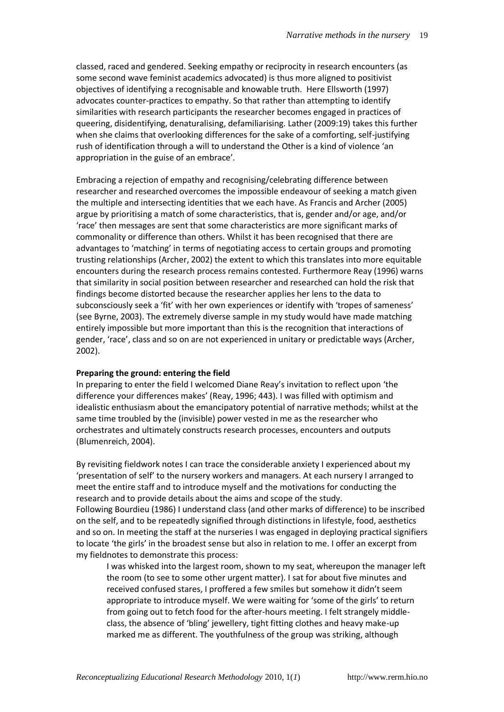classed, raced and gendered. Seeking empathy or reciprocity in research encounters (as some second wave feminist academics advocated) is thus more aligned to positivist objectives of identifying a recognisable and knowable truth. Here Ellsworth (1997) advocates counter-practices to empathy. So that rather than attempting to identify similarities with research participants the researcher becomes engaged in practices of queering, disidentifying, denaturalising, defamiliarising. Lather (2009:19) takes this further when she claims that overlooking differences for the sake of a comforting, self-justifying rush of identification through a will to understand the Other is a kind of violence 'an appropriation in the guise of an embrace'.

Embracing a rejection of empathy and recognising/celebrating difference between researcher and researched overcomes the impossible endeavour of seeking a match given the multiple and intersecting identities that we each have. As Francis and Archer (2005) argue by prioritising a match of some characteristics, that is, gender and/or age, and/or 'race' then messages are sent that some characteristics are more significant marks of commonality or difference than others. Whilst it has been recognised that there are advantages to 'matching' in terms of negotiating access to certain groups and promoting trusting relationships (Archer, 2002) the extent to which this translates into more equitable encounters during the research process remains contested. Furthermore Reay (1996) warns that similarity in social position between researcher and researched can hold the risk that findings become distorted because the researcher applies her lens to the data to subconsciously seek a 'fit' with her own experiences or identify with 'tropes of sameness' (see Byrne, 2003). The extremely diverse sample in my study would have made matching entirely impossible but more important than this is the recognition that interactions of gender, 'race', class and so on are not experienced in unitary or predictable ways (Archer, 2002).

#### **Preparing the ground: entering the field**

In preparing to enter the field I welcomed Diane Reay's invitation to reflect upon 'the difference your differences makes' (Reay, 1996; 443). I was filled with optimism and idealistic enthusiasm about the emancipatory potential of narrative methods; whilst at the same time troubled by the (invisible) power vested in me as the researcher who orchestrates and ultimately constructs research processes, encounters and outputs (Blumenreich, 2004).

By revisiting fieldwork notes I can trace the considerable anxiety I experienced about my 'presentation of self' to the nursery workers and managers. At each nursery I arranged to meet the entire staff and to introduce myself and the motivations for conducting the research and to provide details about the aims and scope of the study. Following Bourdieu (1986) I understand class (and other marks of difference) to be inscribed on the self, and to be repeatedly signified through distinctions in lifestyle, food, aesthetics and so on. In meeting the staff at the nurseries I was engaged in deploying practical signifiers to locate 'the girls' in the broadest sense but also in relation to me. I offer an excerpt from my fieldnotes to demonstrate this process:

I was whisked into the largest room, shown to my seat, whereupon the manager left the room (to see to some other urgent matter). I sat for about five minutes and received confused stares, I proffered a few smiles but somehow it didn't seem appropriate to introduce myself. We were waiting for 'some of the girls' to return from going out to fetch food for the after-hours meeting. I felt strangely middleclass, the absence of 'bling' jewellery, tight fitting clothes and heavy make-up marked me as different. The youthfulness of the group was striking, although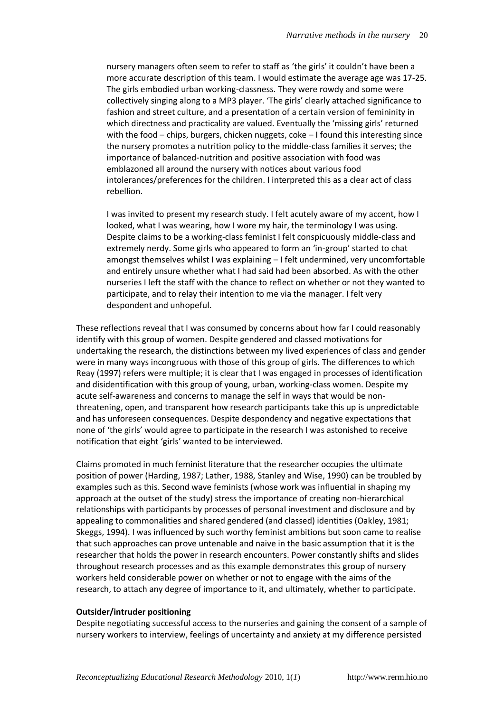nursery managers often seem to refer to staff as 'the girls' it couldn't have been a more accurate description of this team. I would estimate the average age was 17-25. The girls embodied urban working-classness. They were rowdy and some were collectively singing along to a MP3 player. 'The girls' clearly attached significance to fashion and street culture, and a presentation of a certain version of femininity in which directness and practicality are valued. Eventually the 'missing girls' returned with the food – chips, burgers, chicken nuggets, coke – I found this interesting since the nursery promotes a nutrition policy to the middle-class families it serves; the importance of balanced-nutrition and positive association with food was emblazoned all around the nursery with notices about various food intolerances/preferences for the children. I interpreted this as a clear act of class rebellion.

I was invited to present my research study. I felt acutely aware of my accent, how I looked, what I was wearing, how I wore my hair, the terminology I was using. Despite claims to be a working-class feminist I felt conspicuously middle-class and extremely nerdy. Some girls who appeared to form an 'in-group' started to chat amongst themselves whilst I was explaining – I felt undermined, very uncomfortable and entirely unsure whether what I had said had been absorbed. As with the other nurseries I left the staff with the chance to reflect on whether or not they wanted to participate, and to relay their intention to me via the manager. I felt very despondent and unhopeful.

These reflections reveal that I was consumed by concerns about how far I could reasonably identify with this group of women. Despite gendered and classed motivations for undertaking the research, the distinctions between my lived experiences of class and gender were in many ways incongruous with those of this group of girls. The differences to which Reay (1997) refers were multiple; it is clear that I was engaged in processes of identification and disidentification with this group of young, urban, working-class women. Despite my acute self-awareness and concerns to manage the self in ways that would be nonthreatening, open, and transparent how research participants take this up is unpredictable and has unforeseen consequences. Despite despondency and negative expectations that none of 'the girls' would agree to participate in the research I was astonished to receive notification that eight 'girls' wanted to be interviewed.

Claims promoted in much feminist literature that the researcher occupies the ultimate position of power (Harding, 1987; Lather, 1988, Stanley and Wise, 1990) can be troubled by examples such as this. Second wave feminists (whose work was influential in shaping my approach at the outset of the study) stress the importance of creating non-hierarchical relationships with participants by processes of personal investment and disclosure and by appealing to commonalities and shared gendered (and classed) identities (Oakley, 1981; Skeggs, 1994). I was influenced by such worthy feminist ambitions but soon came to realise that such approaches can prove untenable and naive in the basic assumption that it is the researcher that holds the power in research encounters. Power constantly shifts and slides throughout research processes and as this example demonstrates this group of nursery workers held considerable power on whether or not to engage with the aims of the research, to attach any degree of importance to it, and ultimately, whether to participate.

#### **Outsider/intruder positioning**

Despite negotiating successful access to the nurseries and gaining the consent of a sample of nursery workers to interview, feelings of uncertainty and anxiety at my difference persisted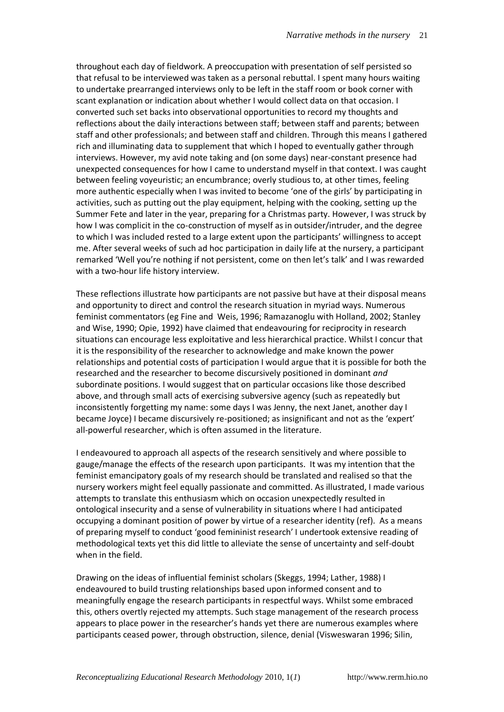throughout each day of fieldwork. A preoccupation with presentation of self persisted so that refusal to be interviewed was taken as a personal rebuttal. I spent many hours waiting to undertake prearranged interviews only to be left in the staff room or book corner with scant explanation or indication about whether I would collect data on that occasion. I converted such set backs into observational opportunities to record my thoughts and reflections about the daily interactions between staff; between staff and parents; between staff and other professionals; and between staff and children. Through this means I gathered rich and illuminating data to supplement that which I hoped to eventually gather through interviews. However, my avid note taking and (on some days) near-constant presence had unexpected consequences for how I came to understand myself in that context. I was caught between feeling voyeuristic; an encumbrance; overly studious to, at other times, feeling more authentic especially when I was invited to become 'one of the girls' by participating in activities, such as putting out the play equipment, helping with the cooking, setting up the Summer Fete and later in the year, preparing for a Christmas party. However, I was struck by how I was complicit in the co-construction of myself as in outsider/intruder, and the degree to which I was included rested to a large extent upon the participants' willingness to accept me. After several weeks of such ad hoc participation in daily life at the nursery, a participant remarked 'Well you're nothing if not persistent, come on then let's talk' and I was rewarded with a two-hour life history interview.

These reflections illustrate how participants are not passive but have at their disposal means and opportunity to direct and control the research situation in myriad ways. Numerous feminist commentators (eg Fine and Weis, 1996; Ramazanoglu with Holland, 2002; Stanley and Wise, 1990; Opie, 1992) have claimed that endeavouring for reciprocity in research situations can encourage less exploitative and less hierarchical practice. Whilst I concur that it is the responsibility of the researcher to acknowledge and make known the power relationships and potential costs of participation I would argue that it is possible for both the researched and the researcher to become discursively positioned in dominant *and*  subordinate positions. I would suggest that on particular occasions like those described above, and through small acts of exercising subversive agency (such as repeatedly but inconsistently forgetting my name: some days I was Jenny, the next Janet, another day I became Joyce) I became discursively re-positioned; as insignificant and not as the 'expert' all-powerful researcher, which is often assumed in the literature.

I endeavoured to approach all aspects of the research sensitively and where possible to gauge/manage the effects of the research upon participants. It was my intention that the feminist emancipatory goals of my research should be translated and realised so that the nursery workers might feel equally passionate and committed. As illustrated, I made various attempts to translate this enthusiasm which on occasion unexpectedly resulted in ontological insecurity and a sense of vulnerability in situations where I had anticipated occupying a dominant position of power by virtue of a researcher identity (ref). As a means of preparing myself to conduct 'good femininist research' I undertook extensive reading of methodological texts yet this did little to alleviate the sense of uncertainty and self-doubt when in the field.

Drawing on the ideas of influential feminist scholars (Skeggs, 1994; Lather, 1988) I endeavoured to build trusting relationships based upon informed consent and to meaningfully engage the research participants in respectful ways. Whilst some embraced this, others overtly rejected my attempts. Such stage management of the research process appears to place power in the researcher's hands yet there are numerous examples where participants ceased power, through obstruction, silence, denial (Visweswaran 1996; Silin,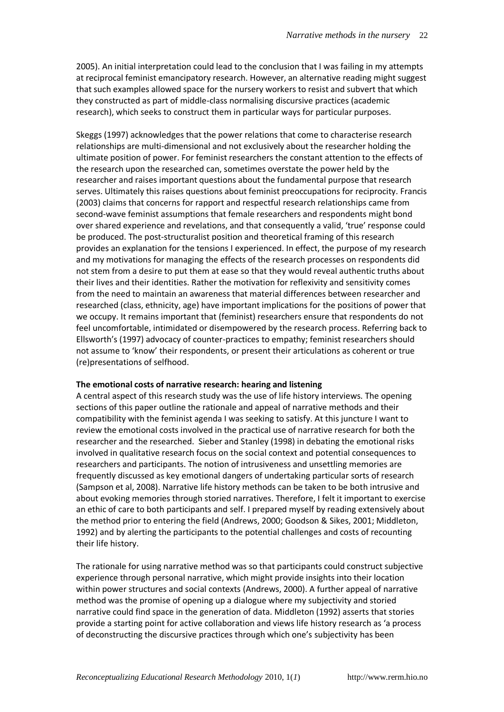2005). An initial interpretation could lead to the conclusion that I was failing in my attempts at reciprocal feminist emancipatory research. However, an alternative reading might suggest that such examples allowed space for the nursery workers to resist and subvert that which they constructed as part of middle-class normalising discursive practices (academic research), which seeks to construct them in particular ways for particular purposes.

Skeggs (1997) acknowledges that the power relations that come to characterise research relationships are multi-dimensional and not exclusively about the researcher holding the ultimate position of power. For feminist researchers the constant attention to the effects of the research upon the researched can, sometimes overstate the power held by the researcher and raises important questions about the fundamental purpose that research serves. Ultimately this raises questions about feminist preoccupations for reciprocity. Francis (2003) claims that concerns for rapport and respectful research relationships came from second-wave feminist assumptions that female researchers and respondents might bond over shared experience and revelations, and that consequently a valid, 'true' response could be produced. The post-structuralist position and theoretical framing of this research provides an explanation for the tensions I experienced. In effect, the purpose of my research and my motivations for managing the effects of the research processes on respondents did not stem from a desire to put them at ease so that they would reveal authentic truths about their lives and their identities. Rather the motivation for reflexivity and sensitivity comes from the need to maintain an awareness that material differences between researcher and researched (class, ethnicity, age) have important implications for the positions of power that we occupy. It remains important that (feminist) researchers ensure that respondents do not feel uncomfortable, intimidated or disempowered by the research process. Referring back to Ellsworth's (1997) advocacy of counter-practices to empathy; feminist researchers should not assume to 'know' their respondents, or present their articulations as coherent or true (re)presentations of selfhood.

#### **The emotional costs of narrative research: hearing and listening**

A central aspect of this research study was the use of life history interviews. The opening sections of this paper outline the rationale and appeal of narrative methods and their compatibility with the feminist agenda I was seeking to satisfy. At this juncture I want to review the emotional costs involved in the practical use of narrative research for both the researcher and the researched. Sieber and Stanley (1998) in debating the emotional risks involved in qualitative research focus on the social context and potential consequences to researchers and participants. The notion of intrusiveness and unsettling memories are frequently discussed as key emotional dangers of undertaking particular sorts of research (Sampson et al, 2008). Narrative life history methods can be taken to be both intrusive and about evoking memories through storied narratives. Therefore, I felt it important to exercise an ethic of care to both participants and self. I prepared myself by reading extensively about the method prior to entering the field (Andrews, 2000; Goodson & Sikes, 2001; Middleton, 1992) and by alerting the participants to the potential challenges and costs of recounting their life history.

The rationale for using narrative method was so that participants could construct subjective experience through personal narrative, which might provide insights into their location within power structures and social contexts (Andrews, 2000). A further appeal of narrative method was the promise of opening up a dialogue where my subjectivity and storied narrative could find space in the generation of data. Middleton (1992) asserts that stories provide a starting point for active collaboration and views life history research as 'a process of deconstructing the discursive practices through which one's subjectivity has been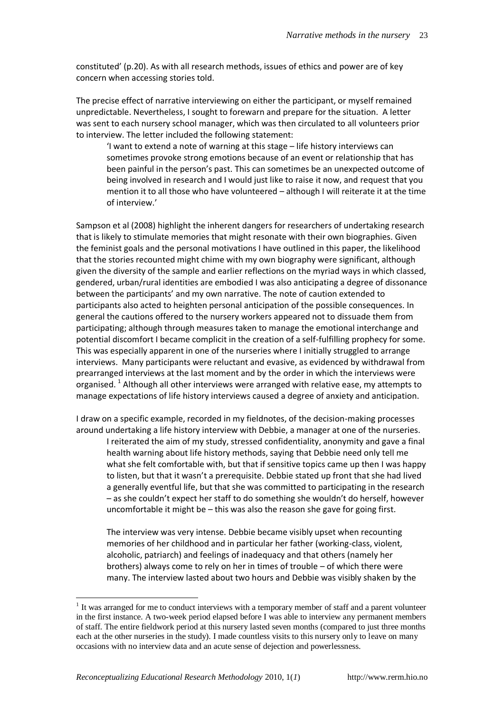constituted' (p.20). As with all research methods, issues of ethics and power are of key concern when accessing stories told.

The precise effect of narrative interviewing on either the participant, or myself remained unpredictable. Nevertheless, I sought to forewarn and prepare for the situation. A letter was sent to each nursery school manager, which was then circulated to all volunteers prior to interview. The letter included the following statement:

'I want to extend a note of warning at this stage – life history interviews can sometimes provoke strong emotions because of an event or relationship that has been painful in the person's past. This can sometimes be an unexpected outcome of being involved in research and I would just like to raise it now, and request that you mention it to all those who have volunteered – although I will reiterate it at the time of interview.'

Sampson et al (2008) highlight the inherent dangers for researchers of undertaking research that is likely to stimulate memories that might resonate with their own biographies. Given the feminist goals and the personal motivations I have outlined in this paper, the likelihood that the stories recounted might chime with my own biography were significant, although given the diversity of the sample and earlier reflections on the myriad ways in which classed, gendered, urban/rural identities are embodied I was also anticipating a degree of dissonance between the participants' and my own narrative. The note of caution extended to participants also acted to heighten personal anticipation of the possible consequences. In general the cautions offered to the nursery workers appeared not to dissuade them from participating; although through measures taken to manage the emotional interchange and potential discomfort I became complicit in the creation of a self-fulfilling prophecy for some. This was especially apparent in one of the nurseries where I initially struggled to arrange interviews. Many participants were reluctant and evasive, as evidenced by withdrawal from prearranged interviews at the last moment and by the order in which the interviews were organised.<sup>1</sup> Although all other interviews were arranged with relative ease, my attempts to manage expectations of life history interviews caused a degree of anxiety and anticipation.

I draw on a specific example, recorded in my fieldnotes, of the decision-making processes around undertaking a life history interview with Debbie, a manager at one of the nurseries. I reiterated the aim of my study, stressed confidentiality, anonymity and gave a final health warning about life history methods, saying that Debbie need only tell me what she felt comfortable with, but that if sensitive topics came up then I was happy to listen, but that it wasn't a prerequisite. Debbie stated up front that she had lived a generally eventful life, but that she was committed to participating in the research – as she couldn't expect her staff to do something she wouldn't do herself, however uncomfortable it might be – this was also the reason she gave for going first.

The interview was very intense. Debbie became visibly upset when recounting memories of her childhood and in particular her father (working-class, violent, alcoholic, patriarch) and feelings of inadequacy and that others (namely her brothers) always come to rely on her in times of trouble – of which there were many. The interview lasted about two hours and Debbie was visibly shaken by the

<u>.</u>

 $1$  It was arranged for me to conduct interviews with a temporary member of staff and a parent volunteer in the first instance. A two-week period elapsed before I was able to interview any permanent members of staff. The entire fieldwork period at this nursery lasted seven months (compared to just three months each at the other nurseries in the study). I made countless visits to this nursery only to leave on many occasions with no interview data and an acute sense of dejection and powerlessness.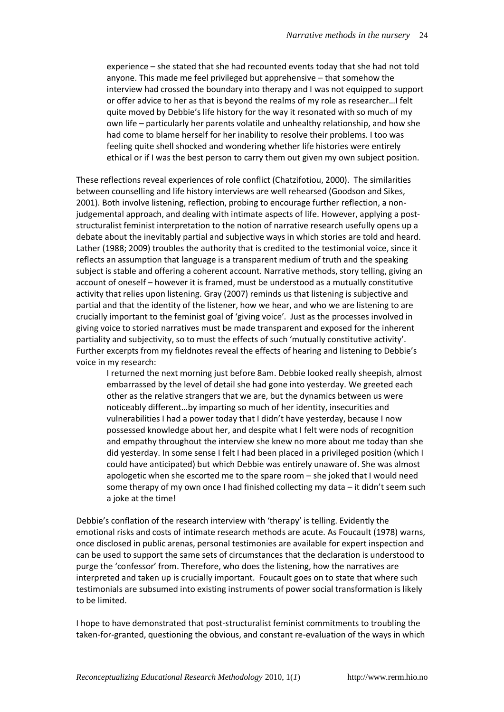experience – she stated that she had recounted events today that she had not told anyone. This made me feel privileged but apprehensive – that somehow the interview had crossed the boundary into therapy and I was not equipped to support or offer advice to her as that is beyond the realms of my role as researcher…I felt quite moved by Debbie's life history for the way it resonated with so much of my own life – particularly her parents volatile and unhealthy relationship, and how she had come to blame herself for her inability to resolve their problems. I too was feeling quite shell shocked and wondering whether life histories were entirely ethical or if I was the best person to carry them out given my own subject position.

These reflections reveal experiences of role conflict (Chatzifotiou, 2000). The similarities between counselling and life history interviews are well rehearsed (Goodson and Sikes, 2001). Both involve listening, reflection, probing to encourage further reflection, a nonjudgemental approach, and dealing with intimate aspects of life. However, applying a poststructuralist feminist interpretation to the notion of narrative research usefully opens up a debate about the inevitably partial and subjective ways in which stories are told and heard. Lather (1988; 2009) troubles the authority that is credited to the testimonial voice, since it reflects an assumption that language is a transparent medium of truth and the speaking subject is stable and offering a coherent account. Narrative methods, story telling, giving an account of oneself – however it is framed, must be understood as a mutually constitutive activity that relies upon listening. Gray (2007) reminds us that listening is subjective and partial and that the identity of the listener, how we hear, and who we are listening to are crucially important to the feminist goal of 'giving voice'. Just as the processes involved in giving voice to storied narratives must be made transparent and exposed for the inherent partiality and subjectivity, so to must the effects of such 'mutually constitutive activity'. Further excerpts from my fieldnotes reveal the effects of hearing and listening to Debbie's voice in my research:

I returned the next morning just before 8am. Debbie looked really sheepish, almost embarrassed by the level of detail she had gone into yesterday. We greeted each other as the relative strangers that we are, but the dynamics between us were noticeably different…by imparting so much of her identity, insecurities and vulnerabilities I had a power today that I didn't have yesterday, because I now possessed knowledge about her, and despite what I felt were nods of recognition and empathy throughout the interview she knew no more about me today than she did yesterday. In some sense I felt I had been placed in a privileged position (which I could have anticipated) but which Debbie was entirely unaware of. She was almost apologetic when she escorted me to the spare room – she joked that I would need some therapy of my own once I had finished collecting my data – it didn't seem such a joke at the time!

Debbie's conflation of the research interview with 'therapy' is telling. Evidently the emotional risks and costs of intimate research methods are acute. As Foucault (1978) warns, once disclosed in public arenas, personal testimonies are available for expert inspection and can be used to support the same sets of circumstances that the declaration is understood to purge the 'confessor' from. Therefore, who does the listening, how the narratives are interpreted and taken up is crucially important. Foucault goes on to state that where such testimonials are subsumed into existing instruments of power social transformation is likely to be limited.

I hope to have demonstrated that post-structuralist feminist commitments to troubling the taken-for-granted, questioning the obvious, and constant re-evaluation of the ways in which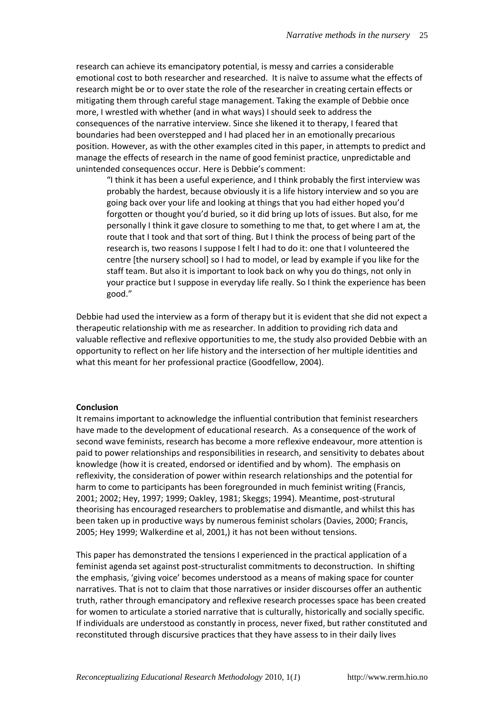research can achieve its emancipatory potential, is messy and carries a considerable emotional cost to both researcher and researched. It is naïve to assume what the effects of research might be or to over state the role of the researcher in creating certain effects or mitigating them through careful stage management. Taking the example of Debbie once more, I wrestled with whether (and in what ways) I should seek to address the consequences of the narrative interview. Since she likened it to therapy, I feared that boundaries had been overstepped and I had placed her in an emotionally precarious position. However, as with the other examples cited in this paper, in attempts to predict and manage the effects of research in the name of good feminist practice, unpredictable and unintended consequences occur. Here is Debbie's comment:

"I think it has been a useful experience, and I think probably the first interview was probably the hardest, because obviously it is a life history interview and so you are going back over your life and looking at things that you had either hoped you'd forgotten or thought you'd buried, so it did bring up lots of issues. But also, for me personally I think it gave closure to something to me that, to get where I am at, the route that I took and that sort of thing. But I think the process of being part of the research is, two reasons I suppose I felt I had to do it: one that I volunteered the centre [the nursery school] so I had to model, or lead by example if you like for the staff team. But also it is important to look back on why you do things, not only in your practice but I suppose in everyday life really. So I think the experience has been good."

Debbie had used the interview as a form of therapy but it is evident that she did not expect a therapeutic relationship with me as researcher. In addition to providing rich data and valuable reflective and reflexive opportunities to me, the study also provided Debbie with an opportunity to reflect on her life history and the intersection of her multiple identities and what this meant for her professional practice (Goodfellow, 2004).

#### **Conclusion**

It remains important to acknowledge the influential contribution that feminist researchers have made to the development of educational research. As a consequence of the work of second wave feminists, research has become a more reflexive endeavour, more attention is paid to power relationships and responsibilities in research, and sensitivity to debates about knowledge (how it is created, endorsed or identified and by whom). The emphasis on reflexivity, the consideration of power within research relationships and the potential for harm to come to participants has been foregrounded in much feminist writing (Francis, 2001; 2002; Hey, 1997; 1999; Oakley, 1981; Skeggs; 1994). Meantime, post-strutural theorising has encouraged researchers to problematise and dismantle, and whilst this has been taken up in productive ways by numerous feminist scholars (Davies, 2000; Francis, 2005; Hey 1999; Walkerdine et al, 2001,) it has not been without tensions.

This paper has demonstrated the tensions I experienced in the practical application of a feminist agenda set against post-structuralist commitments to deconstruction. In shifting the emphasis, 'giving voice' becomes understood as a means of making space for counter narratives. That is not to claim that those narratives or insider discourses offer an authentic truth, rather through emancipatory and reflexive research processes space has been created for women to articulate a storied narrative that is culturally, historically and socially specific. If individuals are understood as constantly in process, never fixed, but rather constituted and reconstituted through discursive practices that they have assess to in their daily lives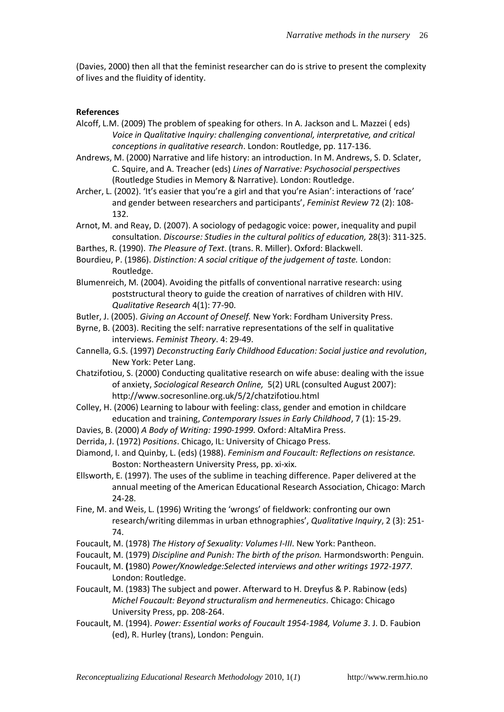(Davies, 2000) then all that the feminist researcher can do is strive to present the complexity of lives and the fluidity of identity.

#### **References**

- Alcoff, L.M. (2009) The problem of speaking for others. In A. Jackson and L. Mazzei ( eds) *Voice in Qualitative Inquiry: challenging conventional, interpretative, and critical conceptions in qualitative research*. London: Routledge, pp. 117-136.
- Andrews, M. (2000) Narrative and life history: an introduction. In M. [Andrews,](http://www.amazon.co.uk/exec/obidos/search-handle-url/index=books-uk&field-author=Andrews%2C%20Molly/026-1415623-7364452) S. D. [Sclater,](http://www.amazon.co.uk/exec/obidos/search-handle-url/index=books-uk&field-author=Sclater%2C%20Shelley%20Day/026-1415623-7364452) C. Squire, and A. Treacher (eds) *Lines of Narrative: Psychosocial perspectives*  (Routledge Studies in Memory & Narrative). London: Routledge.
- Archer, L. (2002). 'It's easier that you're a girl and that you're Asian': interactions of 'race' and gender between researchers and participants', *Feminist Review* 72 (2): 108- 132.
- Arnot, M. and Reay, D. (2007). A sociology of pedagogic voice: power, inequality and pupil consultation. *Discourse: Studies in the cultural politics of education,* 28(3): 311-325.
- Barthes, R. (1990). *The Pleasure of Text*. (trans. R. Miller). Oxford: Blackwell.
- Bourdieu, P. (1986). *Distinction: A social critique of the judgement of taste.* London: Routledge.
- Blumenreich, M. (2004). Avoiding the pitfalls of conventional narrative research: using poststructural theory to guide the creation of narratives of children with HIV. *Qualitative Research* 4(1): 77-90.
- Butler, J. (2005). *Giving an Account of Oneself.* New York: Fordham University Press.
- Byrne, B. (2003). Reciting the self: narrative representations of the self in qualitative interviews. *Feminist Theory*. 4: 29-49.
- Cannella, G.S. (1997) *Deconstructing Early Childhood Education: Social justice and revolution*, New York: Peter Lang.
- Chatzifotiou, S. (2000) Conducting qualitative research on wife abuse: dealing with the issue of anxiety, *Sociological Research Online,* 5(2) URL (consulted August 2007): http://www.socresonline.org.uk/5/2/chatzifotiou.html
- Colley, H. (2006) Learning to labour with feeling: class, gender and emotion in childcare education and training, *Contemporary Issues in Early Childhood*, 7 (1): 15-29.
- Davies, B. (2000) *A Body of Writing: 1990-1999*. Oxford: AltaMira Press.
- Derrida, J. (1972) *Positions*. Chicago, IL: University of Chicago Press.
- Diamond, I. and Quinby, L. (eds) (1988). *Feminism and Foucault: Reflections on resistance.*  Boston: Northeastern University Press, pp. xi-xix.
- Ellsworth, E. (1997). The uses of the sublime in teaching difference. Paper delivered at the annual meeting of the American Educational Research Association, Chicago: March 24-28.
- Fine, M. and Weis, L. (1996) Writing the 'wrongs' of fieldwork: confronting our own research/writing dilemmas in urban ethnographies', *Qualitative Inquiry*, 2 (3): 251- 74.
- Foucault, M. (1978) *The History of Sexuality: Volumes I-III*. New York: Pantheon.
- Foucault, M. (1979) *Discipline and Punish: The birth of the prison.* Harmondsworth: Penguin.
- Foucault, M. **(**1980) *Power/Knowledge:Selected interviews and other writings 1972-1977*. London: Routledge.
- Foucault, M. (1983) The subject and power. Afterward to H. Dreyfus & P. Rabinow (eds) *Michel Foucault: Beyond structuralism and hermeneutics.* Chicago: Chicago University Press, pp. 208-264.
- Foucault, M. (1994). *Power: Essential works of Foucault 1954-1984, Volume 3*. J. D. Faubion (ed), R. Hurley (trans), London: Penguin.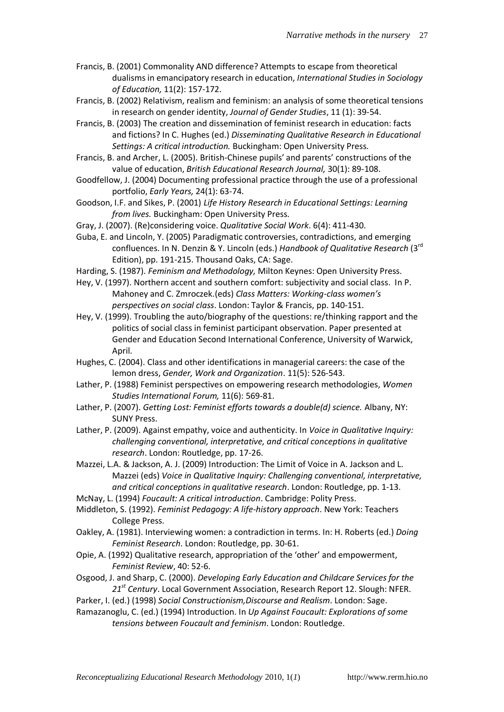- Francis, B. (2001) Commonality AND difference? Attempts to escape from theoretical dualisms in emancipatory research in education, *International Studies in Sociology of Education,* 11(2): 157-172.
- Francis, B. (2002) Relativism, realism and feminism: an analysis of some theoretical tensions in research on gender identity, *Journal of Gender Studies*, 11 (1): 39-54.
- Francis, B. (2003) The creation and dissemination of feminist research in education: facts and fictions? In C. Hughes (ed.) *Disseminating Qualitative Research in Educational Settings: A critical introduction.* Buckingham: Open University Press.
- Francis, B. and Archer, L. (2005). British-Chinese pupils' and parents' constructions of the value of education, *British Educational Research Journal,* 30(1): 89-108.
- Goodfellow, J. (2004) Documenting professional practice through the use of a professional portfolio, *Early Years,* 24(1): 63-74.
- Goodson, I.F. and Sikes, P. (2001) *Life History Research in Educational Settings: Learning from lives.* Buckingham: Open University Press.
- Gray, J. (2007). (Re)considering voice. *Qualitative Social Work*. 6(4): 411-430.
- Guba, E. and Lincoln, Y. (2005) Paradigmatic controversies, contradictions, and emerging confluences. In N. Denzin & Y. Lincoln (eds.) *Handbook of Qualitative Research* (3rd Edition), pp. 191-215. Thousand Oaks, CA: Sage.
- Harding, S. (1987). *Feminism and Methodology,* Milton Keynes: Open University Press.
- Hey, V. (1997). Northern accent and southern comfort: subjectivity and social class. In P. Mahoney and C. Zmroczek.(eds) *Class Matters: Working-class women's perspectives on social class*. London: Taylor & Francis, pp. 140-151.
- Hey, V. (1999). Troubling the auto/biography of the questions: re/thinking rapport and the politics of social class in feminist participant observation. Paper presented at Gender and Education Second International Conference, University of Warwick, April.
- Hughes, C. (2004). Class and other identifications in managerial careers: the case of the lemon dress, *Gender, Work and Organization*. 11(5): 526-543.
- Lather, P. (1988) Feminist perspectives on empowering research methodologies, *Women Studies International Forum,* 11(6): 569-81.
- Lather, P. (2007). *Getting Lost: Feminist efforts towards a double(d) science.* Albany, NY: SUNY Press.
- Lather, P. (2009). Against empathy, voice and authenticity. In *Voice in Qualitative Inquiry: challenging conventional, interpretative, and critical conceptions in qualitative research*. London: Routledge, pp. 17-26.
- Mazzei, L.A. & Jackson, A. J. (2009) Introduction: The Limit of Voice in A. Jackson and L. Mazzei (eds) *Voice in Qualitative Inquiry: Challenging conventional, interpretative, and critical conceptions in qualitative research*. London: Routledge, pp. 1-13.
- McNay, L. (1994) *Foucault: A critical introduction*. Cambridge: Polity Press.
- Middleton, S. (1992). *Feminist Pedagogy: A life-history approach*. New York: Teachers College Press.
- Oakley, A. (1981). Interviewing women: a contradiction in terms. In: H. Roberts (ed.) *Doing Feminist Research*. London: Routledge, pp. 30-61.
- Opie, A. (1992) Qualitative research, appropriation of the 'other' and empowerment, *Feminist Review*, 40: 52-6.
- Osgood, J. and Sharp, C. (2000). *Developing Early Education and Childcare Services for the 21st Century*. Local Government Association, Research Report 12. Slough: NFER.
- Parker, I. (ed.) (1998) *Social Constructionism,Discourse and Realism*. London: Sage.
- Ramazanoglu, C. (ed.) (1994) Introduction. In *Up Against Foucault: Explorations of some tensions between Foucault and feminism*. London: Routledge.